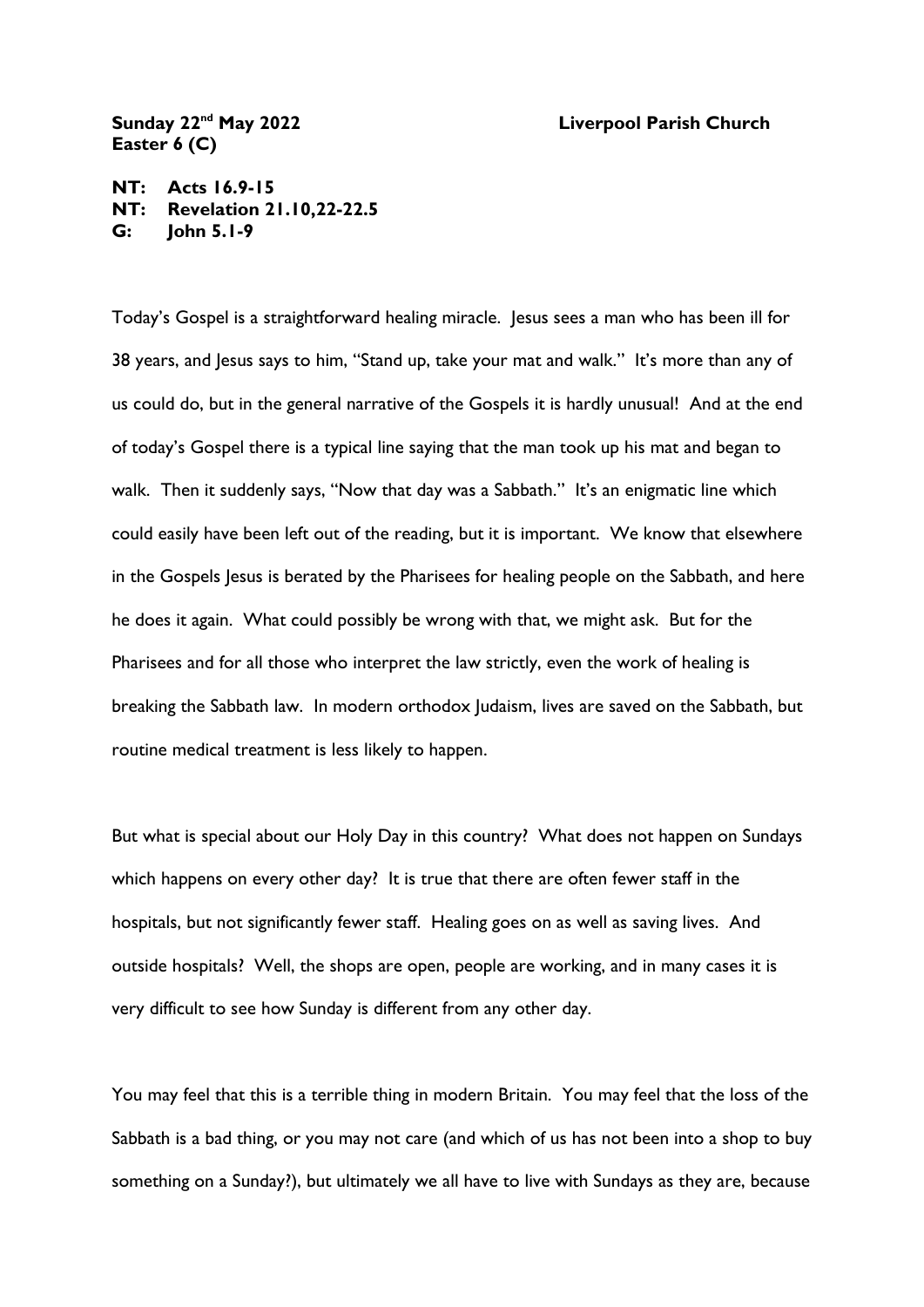## **Sunday 22nd May 2022 Liverpool Parish Church**

**Easter 6 (C)**

**NT: Acts 16.9-15 NT: Revelation 21.10,22-22.5 G: John 5.1-9**

Today's Gospel is a straightforward healing miracle. Jesus sees a man who has been ill for 38 years, and Jesus says to him, "Stand up, take your mat and walk." It's more than any of us could do, but in the general narrative of the Gospels it is hardly unusual! And at the end of today's Gospel there is a typical line saying that the man took up his mat and began to walk. Then it suddenly says, "Now that day was a Sabbath." It's an enigmatic line which could easily have been left out of the reading, but it is important. We know that elsewhere in the Gospels Jesus is berated by the Pharisees for healing people on the Sabbath, and here he does it again. What could possibly be wrong with that, we might ask. But for the Pharisees and for all those who interpret the law strictly, even the work of healing is breaking the Sabbath law. In modern orthodox Judaism, lives are saved on the Sabbath, but routine medical treatment is less likely to happen.

But what is special about our Holy Day in this country? What does not happen on Sundays which happens on every other day? It is true that there are often fewer staff in the hospitals, but not significantly fewer staff. Healing goes on as well as saving lives. And outside hospitals? Well, the shops are open, people are working, and in many cases it is very difficult to see how Sunday is different from any other day.

You may feel that this is a terrible thing in modern Britain. You may feel that the loss of the Sabbath is a bad thing, or you may not care (and which of us has not been into a shop to buy something on a Sunday?), but ultimately we all have to live with Sundays as they are, because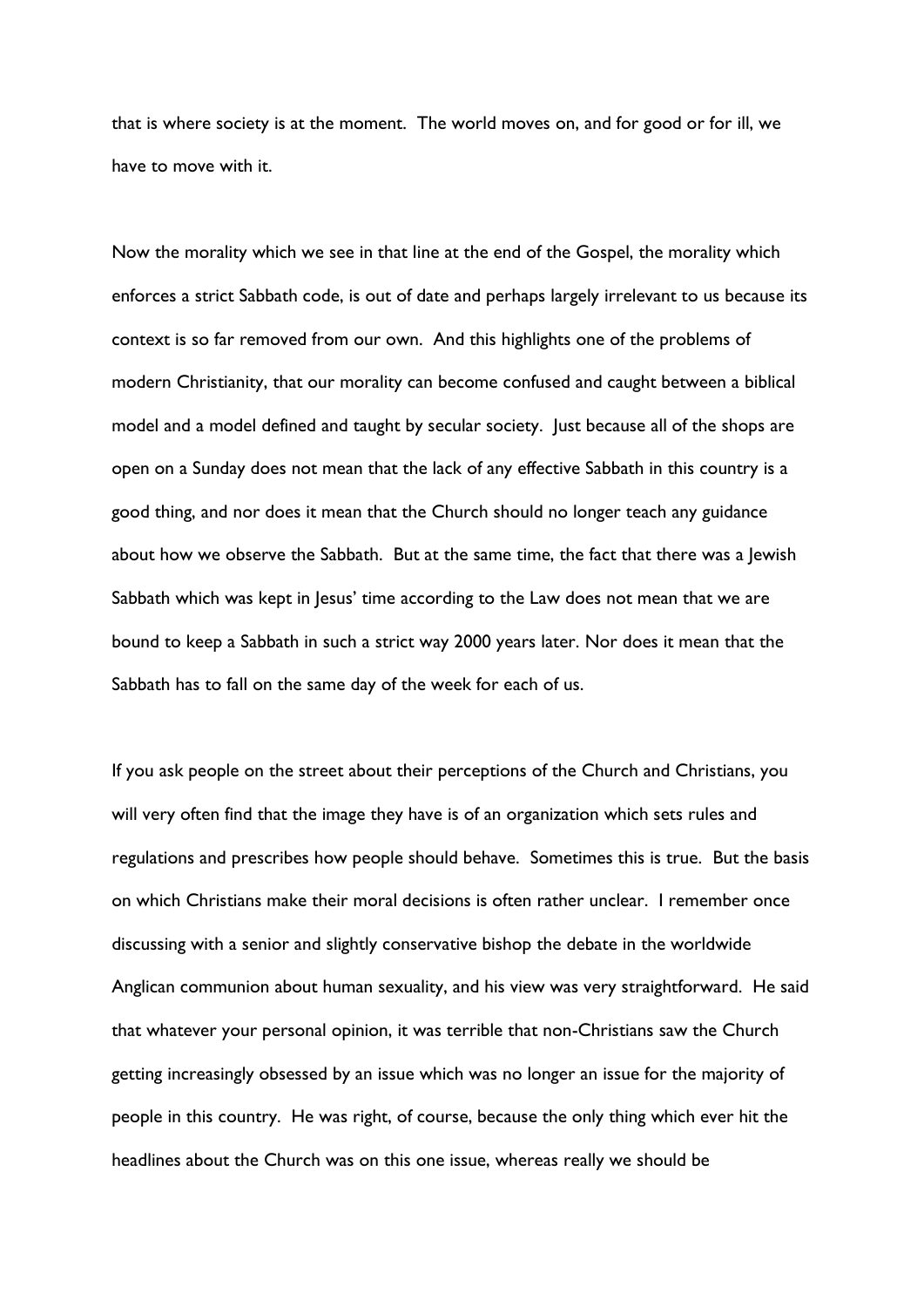that is where society is at the moment. The world moves on, and for good or for ill, we have to move with it.

Now the morality which we see in that line at the end of the Gospel, the morality which enforces a strict Sabbath code, is out of date and perhaps largely irrelevant to us because its context is so far removed from our own. And this highlights one of the problems of modern Christianity, that our morality can become confused and caught between a biblical model and a model defined and taught by secular society. Just because all of the shops are open on a Sunday does not mean that the lack of any effective Sabbath in this country is a good thing, and nor does it mean that the Church should no longer teach any guidance about how we observe the Sabbath. But at the same time, the fact that there was a Jewish Sabbath which was kept in Jesus' time according to the Law does not mean that we are bound to keep a Sabbath in such a strict way 2000 years later. Nor does it mean that the Sabbath has to fall on the same day of the week for each of us.

If you ask people on the street about their perceptions of the Church and Christians, you will very often find that the image they have is of an organization which sets rules and regulations and prescribes how people should behave. Sometimes this is true. But the basis on which Christians make their moral decisions is often rather unclear. I remember once discussing with a senior and slightly conservative bishop the debate in the worldwide Anglican communion about human sexuality, and his view was very straightforward. He said that whatever your personal opinion, it was terrible that non-Christians saw the Church getting increasingly obsessed by an issue which was no longer an issue for the majority of people in this country. He was right, of course, because the only thing which ever hit the headlines about the Church was on this one issue, whereas really we should be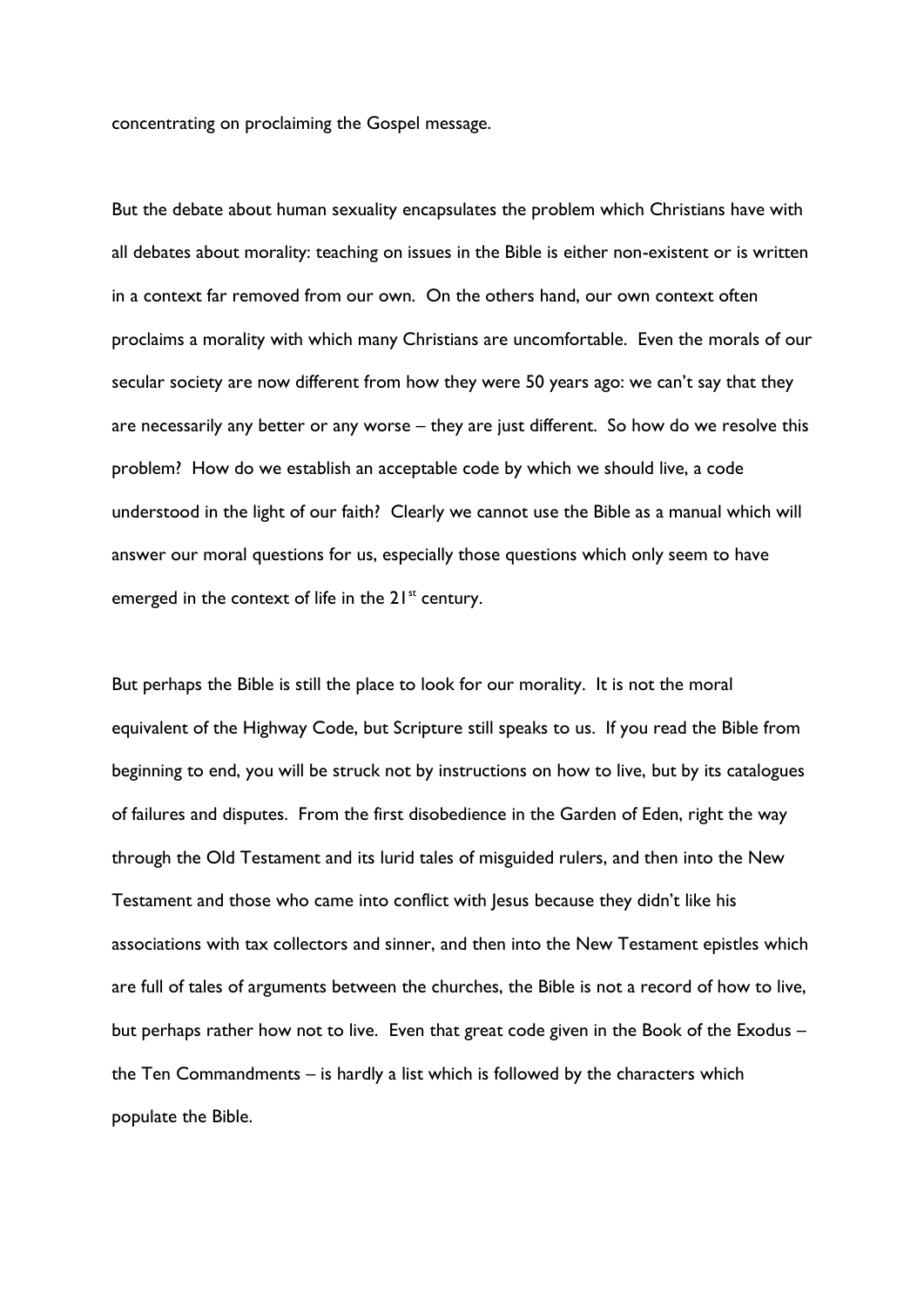concentrating on proclaiming the Gospel message.

But the debate about human sexuality encapsulates the problem which Christians have with all debates about morality: teaching on issues in the Bible is either non-existent or is written in a context far removed from our own. On the others hand, our own context often proclaims a morality with which many Christians are uncomfortable. Even the morals of our secular society are now different from how they were 50 years ago: we can't say that they are necessarily any better or any worse – they are just different. So how do we resolve this problem? How do we establish an acceptable code by which we should live, a code understood in the light of our faith? Clearly we cannot use the Bible as a manual which will answer our moral questions for us, especially those questions which only seem to have emerged in the context of life in the  $21<sup>st</sup>$  century.

But perhaps the Bible is still the place to look for our morality. It is not the moral equivalent of the Highway Code, but Scripture still speaks to us. If you read the Bible from beginning to end, you will be struck not by instructions on how to live, but by its catalogues of failures and disputes. From the first disobedience in the Garden of Eden, right the way through the Old Testament and its lurid tales of misguided rulers, and then into the New Testament and those who came into conflict with Jesus because they didn't like his associations with tax collectors and sinner, and then into the New Testament epistles which are full of tales of arguments between the churches, the Bible is not a record of how to live, but perhaps rather how not to live. Even that great code given in the Book of the Exodus – the Ten Commandments – is hardly a list which is followed by the characters which populate the Bible.